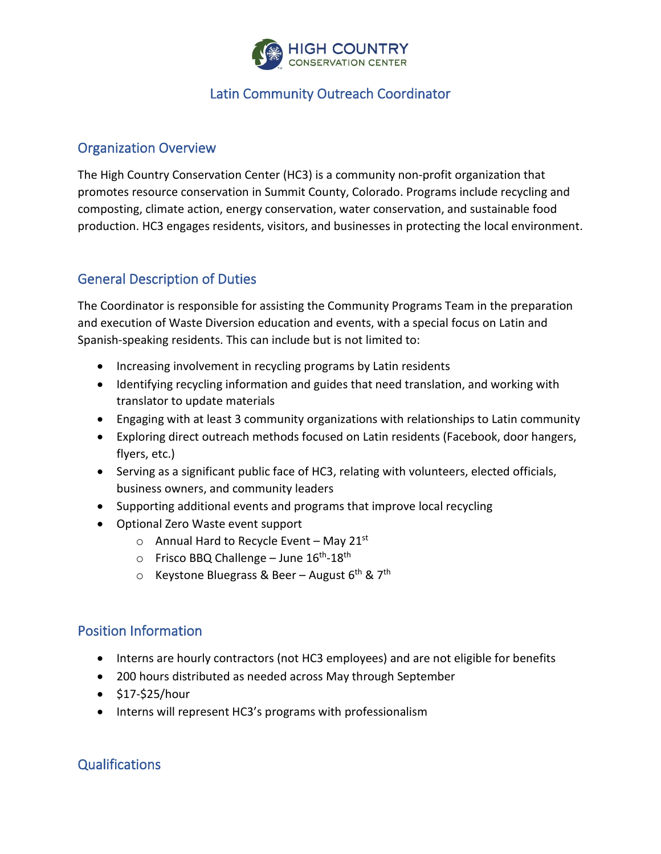

## Latin Community Outreach Coordinator

#### Organization Overview

The High Country Conservation Center (HC3) is a community non-profit organization that promotes resource conservation in Summit County, Colorado. Programs include recycling and composting, climate action, energy conservation, water conservation, and sustainable food production. HC3 engages residents, visitors, and businesses in protecting the local environment.

### General Description of Duties

The Coordinator is responsible for assisting the Community Programs Team in the preparation and execution of Waste Diversion education and events, with a special focus on Latin and Spanish-speaking residents. This can include but is not limited to:

- Increasing involvement in recycling programs by Latin residents
- Identifying recycling information and guides that need translation, and working with translator to update materials
- Engaging with at least 3 community organizations with relationships to Latin community
- Exploring direct outreach methods focused on Latin residents (Facebook, door hangers, flyers, etc.)
- Serving as a significant public face of HC3, relating with volunteers, elected officials, business owners, and community leaders
- Supporting additional events and programs that improve local recycling
- Optional Zero Waste event support
	- $\circ$  Annual Hard to Recycle Event May 21st
	- $\circ$  Frisco BBQ Challenge June  $16^{th}$ -18<sup>th</sup>
	- $\circ$  Keystone Bluegrass & Beer August 6<sup>th</sup> & 7<sup>th</sup>

### Position Information

- Interns are hourly contractors (not HC3 employees) and are not eligible for benefits
- 200 hours distributed as needed across May through September
- \$17-\$25/hour
- Interns will represent HC3's programs with professionalism

# **Qualifications**